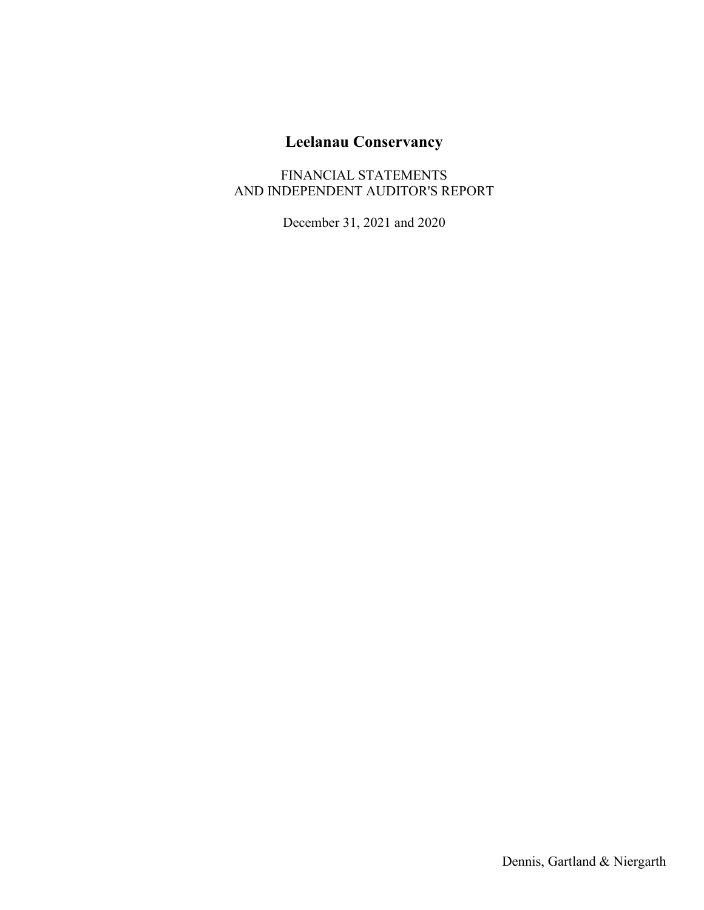FINANCIAL STATEMENTS AND INDEPENDENT AUDITOR'S REPORT

December 31, 2021 and 2020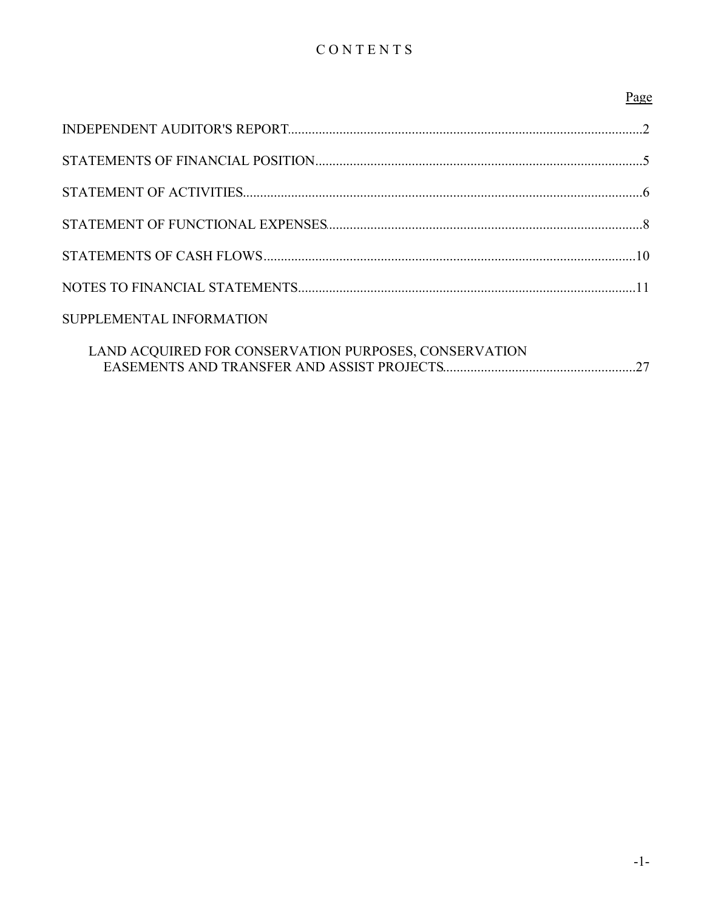# CONTENTS

|                                                       | Page |
|-------------------------------------------------------|------|
|                                                       |      |
|                                                       |      |
|                                                       |      |
|                                                       |      |
|                                                       |      |
|                                                       |      |
| SUPPLEMENTAL INFORMATION                              |      |
| LAND ACQUIRED FOR CONSERVATION PURPOSES, CONSERVATION |      |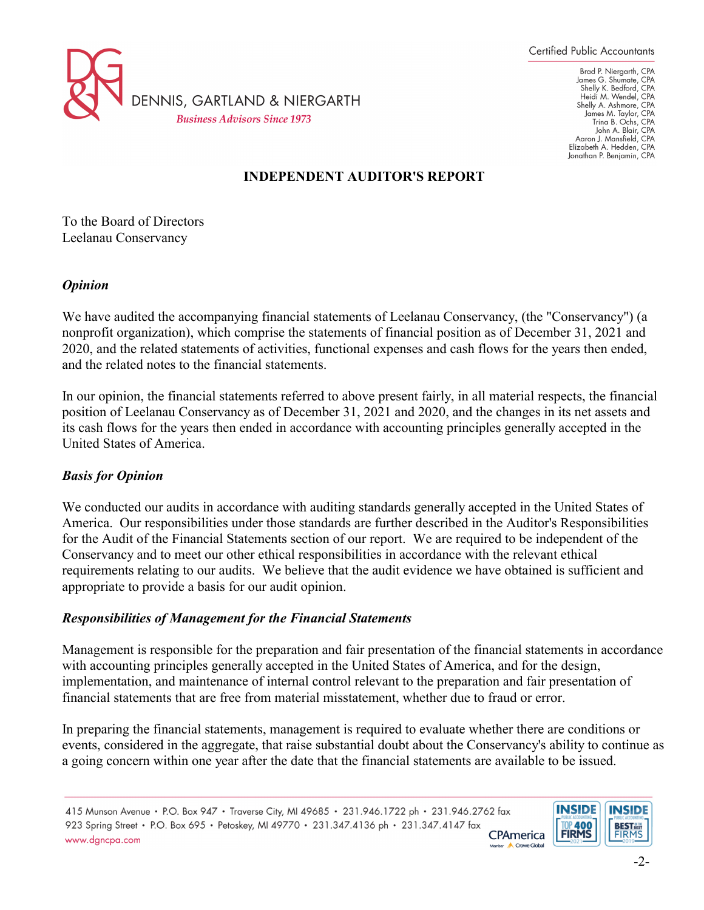

Brad P. Niergarth, CPA James G. Shumate, CPA<br>Shelly K. Bedford, CPA Heidi M. Wendel, CPA Shelly A. Ashmore, CPA<br>James M. Taylor, CPA Trina B. Ochs, CPA John A. Blair, CPA Aaron J. Mansfield, CPA<br>Elizabeth A. Hedden, CPA Jonathan P. Benjamin, CPA

# **INDEPENDENT AUDITOR'S REPORT**

To the Board of Directors Leelanau Conservancy

### *Opinion*

We have audited the accompanying financial statements of Leelanau Conservancy, (the "Conservancy") (a nonprofit organization), which comprise the statements of financial position as of December 31, 2021 and 2020, and the related statements of activities, functional expenses and cash flows for the years then ended, and the related notes to the financial statements.

In our opinion, the financial statements referred to above present fairly, in all material respects, the financial position of Leelanau Conservancy as of December 31, 2021 and 2020, and the changes in its net assets and its cash flows for the years then ended in accordance with accounting principles generally accepted in the United States of America.

## *Basis for Opinion*

We conducted our audits in accordance with auditing standards generally accepted in the United States of America. Our responsibilities under those standards are further described in the Auditor's Responsibilities for the Audit of the Financial Statements section of our report. We are required to be independent of the Conservancy and to meet our other ethical responsibilities in accordance with the relevant ethical requirements relating to our audits. We believe that the audit evidence we have obtained is sufficient and appropriate to provide a basis for our audit opinion.

#### *Responsibilities of Management for the Financial Statements*

Management is responsible for the preparation and fair presentation of the financial statements in accordance with accounting principles generally accepted in the United States of America, and for the design, implementation, and maintenance of internal control relevant to the preparation and fair presentation of financial statements that are free from material misstatement, whether due to fraud or error.

In preparing the financial statements, management is required to evaluate whether there are conditions or events, considered in the aggregate, that raise substantial doubt about the Conservancy's ability to continue as a going concern within one year after the date that the financial statements are available to be issued.

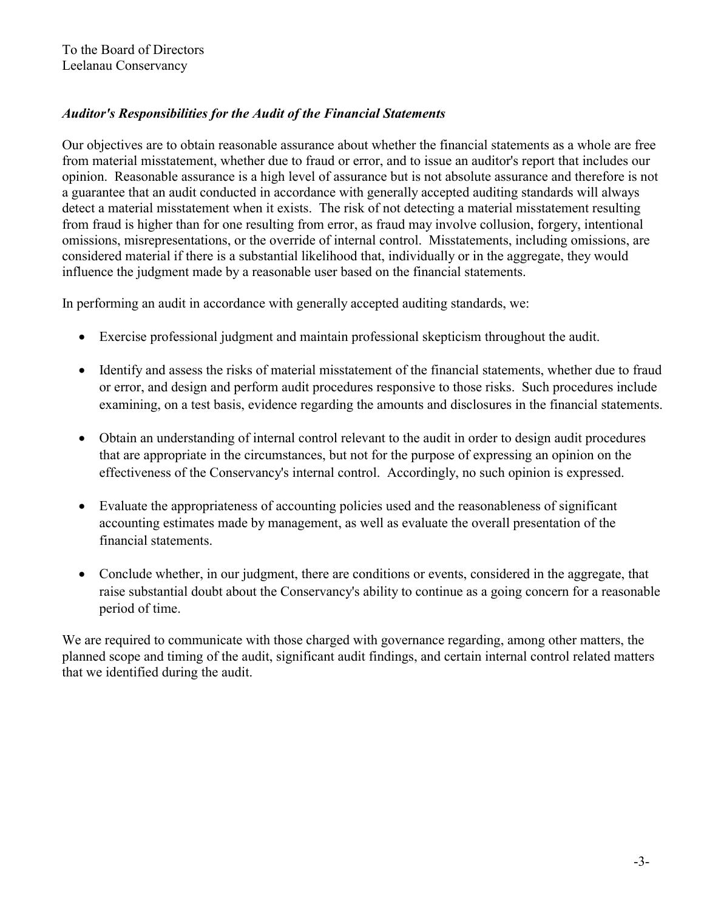# *Auditor's Responsibilities for the Audit of the Financial Statements*

Our objectives are to obtain reasonable assurance about whether the financial statements as a whole are free from material misstatement, whether due to fraud or error, and to issue an auditor's report that includes our opinion. Reasonable assurance is a high level of assurance but is not absolute assurance and therefore is not a guarantee that an audit conducted in accordance with generally accepted auditing standards will always detect a material misstatement when it exists. The risk of not detecting a material misstatement resulting from fraud is higher than for one resulting from error, as fraud may involve collusion, forgery, intentional omissions, misrepresentations, or the override of internal control. Misstatements, including omissions, are considered material if there is a substantial likelihood that, individually or in the aggregate, they would influence the judgment made by a reasonable user based on the financial statements.

In performing an audit in accordance with generally accepted auditing standards, we:

- Exercise professional judgment and maintain professional skepticism throughout the audit.
- Identify and assess the risks of material misstatement of the financial statements, whether due to fraud or error, and design and perform audit procedures responsive to those risks. Such procedures include examining, on a test basis, evidence regarding the amounts and disclosures in the financial statements.
- Obtain an understanding of internal control relevant to the audit in order to design audit procedures that are appropriate in the circumstances, but not for the purpose of expressing an opinion on the effectiveness of the Conservancy's internal control. Accordingly, no such opinion is expressed.
- Evaluate the appropriateness of accounting policies used and the reasonableness of significant accounting estimates made by management, as well as evaluate the overall presentation of the financial statements.
- Conclude whether, in our judgment, there are conditions or events, considered in the aggregate, that raise substantial doubt about the Conservancy's ability to continue as a going concern for a reasonable period of time.

We are required to communicate with those charged with governance regarding, among other matters, the planned scope and timing of the audit, significant audit findings, and certain internal control related matters that we identified during the audit.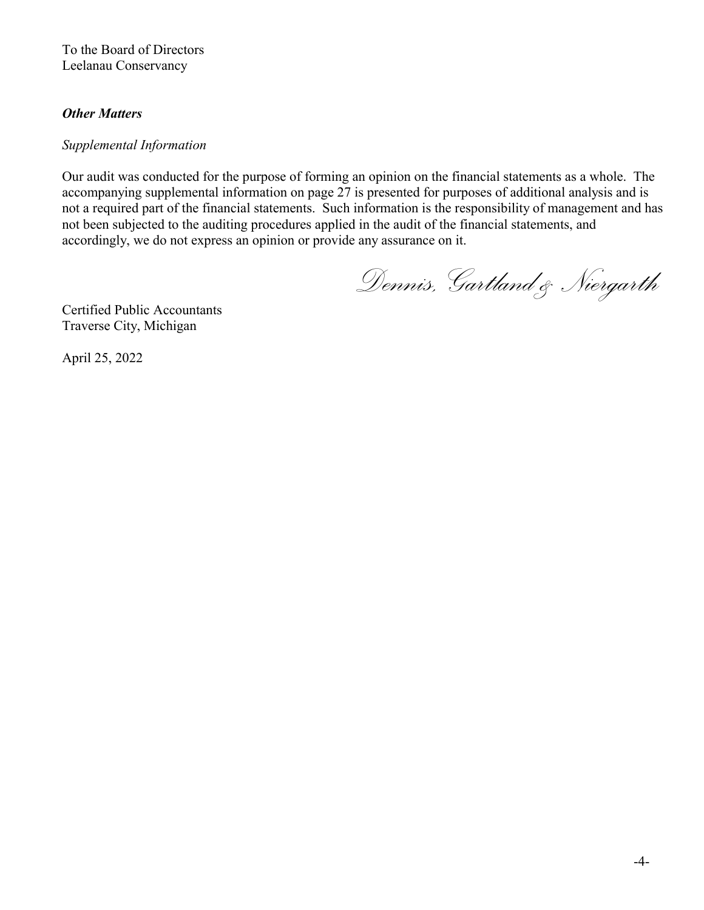To the Board of Directors Leelanau Conservancy

## *Other Matters*

### *Supplemental Information*

Our audit was conducted for the purpose of forming an opinion on the financial statements as a whole. The accompanying supplemental information on page 27 is presented for purposes of additional analysis and is not a required part of the financial statements. Such information is the responsibility of management and has not been subjected to the auditing procedures applied in the audit of the financial statements, and accordingly, we do not express an opinion or provide any assurance on it.

*Dennis, Gartland & Niergarth* 

Certified Public Accountants Traverse City, Michigan

April 25, 2022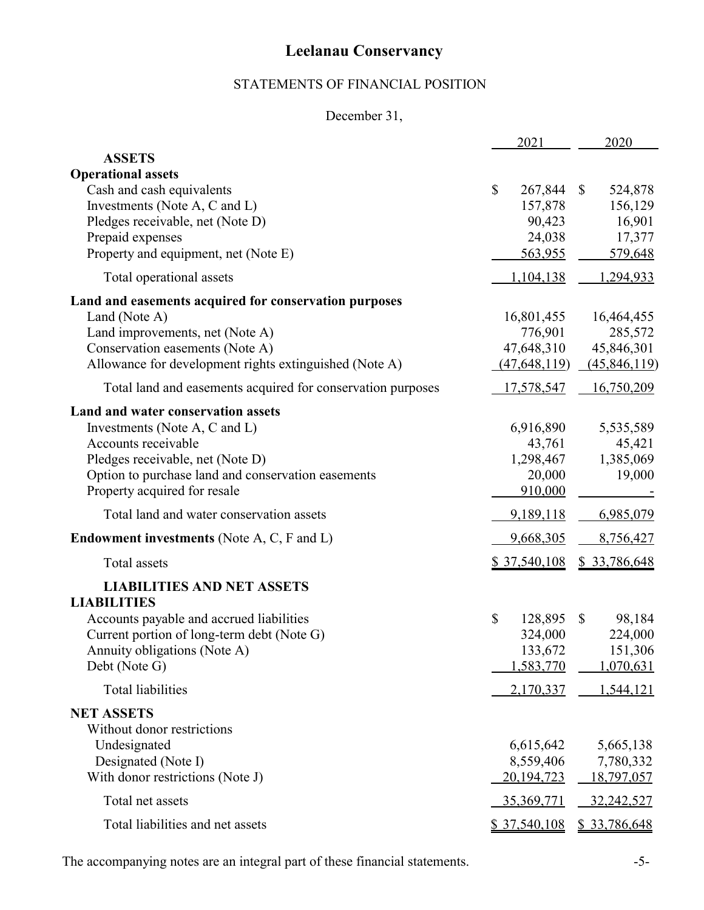# STATEMENTS OF FINANCIAL POSITION

# December 31,

|                                                                                                                                                                                                                      | 2021                                                    |              | 2020                                                |
|----------------------------------------------------------------------------------------------------------------------------------------------------------------------------------------------------------------------|---------------------------------------------------------|--------------|-----------------------------------------------------|
| <b>ASSETS</b>                                                                                                                                                                                                        |                                                         |              |                                                     |
| <b>Operational assets</b><br>Cash and cash equivalents<br>Investments (Note A, C and L)<br>Pledges receivable, net (Note D)<br>Prepaid expenses<br>Property and equipment, net (Note E)                              | \$<br>267,844<br>157,878<br>90,423<br>24,038<br>563,955 | $\mathbb{S}$ | 524,878<br>156,129<br>16,901<br>17,377<br>579,648   |
| Total operational assets                                                                                                                                                                                             | 1,104,138                                               |              | 1,294,933                                           |
| Land and easements acquired for conservation purposes<br>Land (Note A)<br>Land improvements, net (Note A)<br>Conservation easements (Note A)<br>Allowance for development rights extinguished (Note A)               | 16,801,455<br>776,901<br>47,648,310<br>(47, 648, 119)   |              | 16,464,455<br>285,572<br>45,846,301<br>(45,846,119) |
| Total land and easements acquired for conservation purposes                                                                                                                                                          | <u>17,578,547</u>                                       |              | 16,750,209                                          |
| Land and water conservation assets<br>Investments (Note A, C and L)<br>Accounts receivable<br>Pledges receivable, net (Note D)<br>Option to purchase land and conservation easements<br>Property acquired for resale | 6,916,890<br>43,761<br>1,298,467<br>20,000<br>910,000   |              | 5,535,589<br>45,421<br>1,385,069<br>19,000          |
| Total land and water conservation assets                                                                                                                                                                             | 9,189,118                                               |              | 6,985,079                                           |
| <b>Endowment investments</b> (Note A, C, F and L)                                                                                                                                                                    | 9,668,305                                               |              | 8,756,427                                           |
| <b>Total</b> assets                                                                                                                                                                                                  | <u>\$37,540,108</u>                                     |              | \$ 33,786,648                                       |
| <b>LIABILITIES AND NET ASSETS</b><br><b>LIABILITIES</b>                                                                                                                                                              |                                                         |              |                                                     |
| Accounts payable and accrued liabilities<br>Current portion of long-term debt (Note G)<br>Annuity obligations (Note A)<br>Debt (Note G)                                                                              | \$<br>128,895<br>324,000<br>133,672<br>1,583,770        | $\mathbb{S}$ | 98,184<br>224,000<br>151,306<br>1,070,631           |
| <b>Total liabilities</b>                                                                                                                                                                                             | 2,170,337                                               |              | 1,544,121                                           |
| <b>NET ASSETS</b><br>Without donor restrictions<br>Undesignated<br>Designated (Note I)<br>With donor restrictions (Note J)                                                                                           | 6,615,642<br>8,559,406<br>20,194,723                    |              | 5,665,138<br>7,780,332<br>18,797,057                |
| Total net assets                                                                                                                                                                                                     | 35,369,771                                              |              | 32,242,527                                          |
| Total liabilities and net assets                                                                                                                                                                                     | <u>\$37,540,108</u>                                     |              | \$ 33,786,648                                       |

The accompanying notes are an integral part of these financial statements. -5-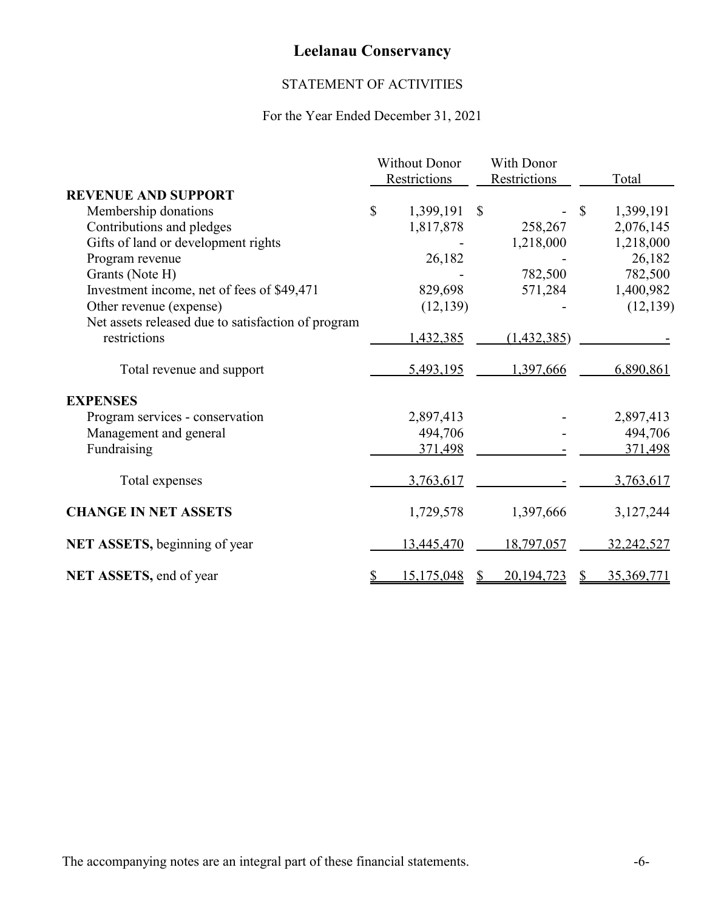# STATEMENT OF ACTIVITIES

# For the Year Ended December 31, 2021

|                                                    | <b>Without Donor</b> |              |               | With Donor   |    |            |
|----------------------------------------------------|----------------------|--------------|---------------|--------------|----|------------|
|                                                    |                      | Restrictions |               | Restrictions |    | Total      |
| <b>REVENUE AND SUPPORT</b>                         |                      |              |               |              |    |            |
| Membership donations                               | \$                   | 1,399,191    | $\mathcal{S}$ |              | \$ | 1,399,191  |
| Contributions and pledges                          |                      | 1,817,878    |               | 258,267      |    | 2,076,145  |
| Gifts of land or development rights                |                      |              |               | 1,218,000    |    | 1,218,000  |
| Program revenue                                    |                      | 26,182       |               |              |    | 26,182     |
| Grants (Note H)                                    |                      |              |               | 782,500      |    | 782,500    |
| Investment income, net of fees of \$49,471         |                      | 829,698      |               | 571,284      |    | 1,400,982  |
| Other revenue (expense)                            |                      | (12, 139)    |               |              |    | (12, 139)  |
| Net assets released due to satisfaction of program |                      |              |               |              |    |            |
| restrictions                                       |                      | 1,432,385    |               | (1,432,385)  |    |            |
| Total revenue and support                          |                      | 5,493,195    |               | 1,397,666    |    | 6,890,861  |
| <b>EXPENSES</b>                                    |                      |              |               |              |    |            |
| Program services - conservation                    |                      | 2,897,413    |               |              |    | 2,897,413  |
| Management and general                             |                      | 494,706      |               |              |    | 494,706    |
| Fundraising                                        |                      | 371,498      |               |              |    | 371,498    |
| Total expenses                                     |                      | 3,763,617    |               |              |    | 3,763,617  |
| <b>CHANGE IN NET ASSETS</b>                        |                      | 1,729,578    |               | 1,397,666    |    | 3,127,244  |
| NET ASSETS, beginning of year                      |                      | 13,445,470   |               | 18,797,057   |    | 32,242,527 |
| NET ASSETS, end of year                            |                      | 15,175,048   |               | 20,194,723   |    | 35,369,771 |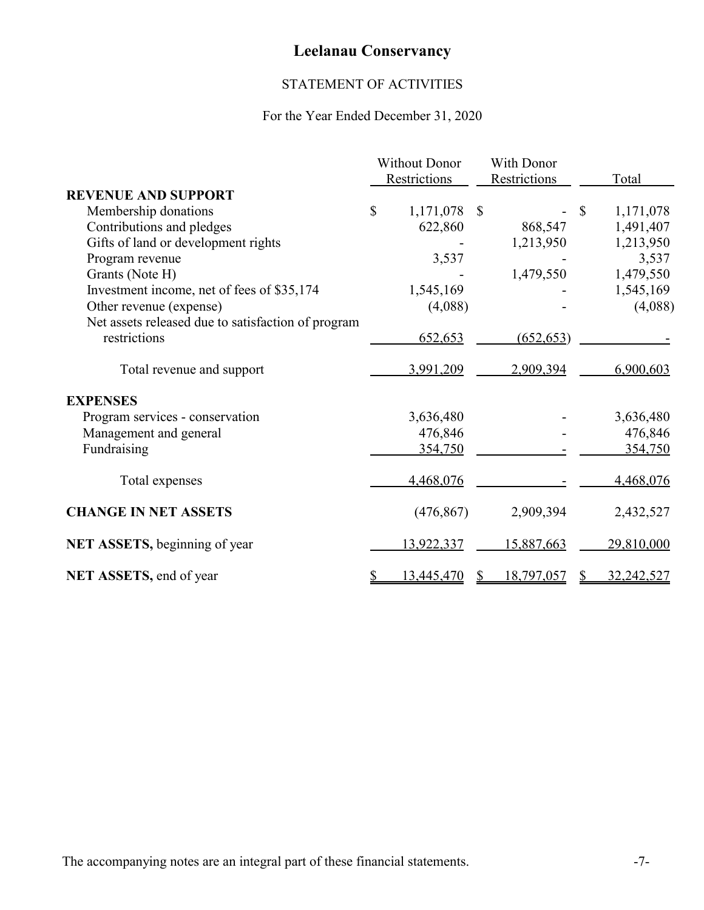# STATEMENT OF ACTIVITIES

# For the Year Ended December 31, 2020

|                                                    | <b>Without Donor</b> |              |              | With Donor   |              |            |
|----------------------------------------------------|----------------------|--------------|--------------|--------------|--------------|------------|
|                                                    |                      | Restrictions |              | Restrictions |              | Total      |
| <b>REVENUE AND SUPPORT</b>                         |                      |              |              |              |              |            |
| Membership donations                               | $\mathbb{S}$         | 1,171,078    | $\mathbb{S}$ |              | $\mathbb{S}$ | 1,171,078  |
| Contributions and pledges                          |                      | 622,860      |              | 868,547      |              | 1,491,407  |
| Gifts of land or development rights                |                      |              |              | 1,213,950    |              | 1,213,950  |
| Program revenue                                    |                      | 3,537        |              |              |              | 3,537      |
| Grants (Note H)                                    |                      |              |              | 1,479,550    |              | 1,479,550  |
| Investment income, net of fees of \$35,174         |                      | 1,545,169    |              |              |              | 1,545,169  |
| Other revenue (expense)                            |                      | (4,088)      |              |              |              | (4,088)    |
| Net assets released due to satisfaction of program |                      |              |              |              |              |            |
| restrictions                                       |                      | 652,653      |              | (652, 653)   |              |            |
| Total revenue and support                          |                      | 3,991,209    |              | 2,909,394    |              | 6,900,603  |
| <b>EXPENSES</b>                                    |                      |              |              |              |              |            |
| Program services - conservation                    |                      | 3,636,480    |              |              |              | 3,636,480  |
| Management and general                             |                      | 476,846      |              |              |              | 476,846    |
| Fundraising                                        |                      | 354,750      |              |              |              | 354,750    |
| Total expenses                                     |                      | 4,468,076    |              |              |              | 4,468,076  |
| <b>CHANGE IN NET ASSETS</b>                        |                      | (476, 867)   |              | 2,909,394    |              | 2,432,527  |
| NET ASSETS, beginning of year                      |                      | 13,922,337   |              | 15,887,663   |              | 29,810,000 |
| NET ASSETS, end of year                            |                      | 13,445,470   |              | 18,797,057   |              | 32,242,527 |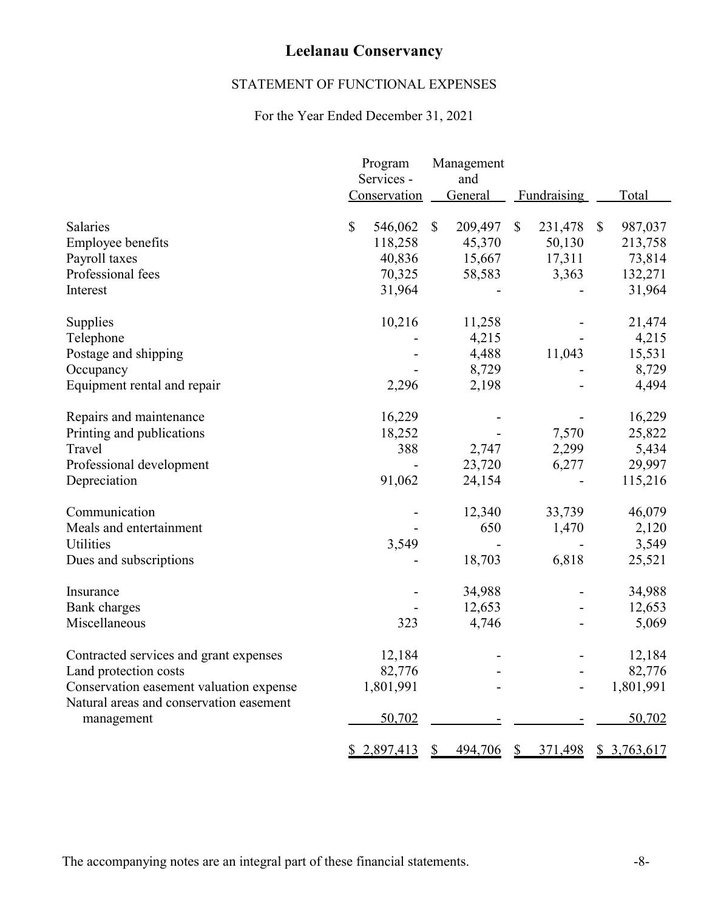# STATEMENT OF FUNCTIONAL EXPENSES

# For the Year Ended December 31, 2021

|                                                                                    | Program<br>Services - | Management<br>and       |                         |                         |
|------------------------------------------------------------------------------------|-----------------------|-------------------------|-------------------------|-------------------------|
|                                                                                    | Conservation          | General                 | Fundraising             | Total                   |
| <b>Salaries</b>                                                                    | \$<br>546,062         | $\mathbb{S}$<br>209,497 | $\mathbb{S}$<br>231,478 | $\mathbb{S}$<br>987,037 |
| Employee benefits                                                                  | 118,258               | 45,370                  | 50,130                  | 213,758                 |
| Payroll taxes                                                                      | 40,836                | 15,667                  | 17,311                  | 73,814                  |
| Professional fees                                                                  | 70,325                | 58,583                  | 3,363                   | 132,271                 |
| Interest                                                                           | 31,964                |                         |                         | 31,964                  |
| Supplies                                                                           | 10,216                | 11,258                  |                         | 21,474                  |
| Telephone                                                                          |                       | 4,215                   |                         | 4,215                   |
| Postage and shipping                                                               |                       | 4,488                   | 11,043                  | 15,531                  |
| Occupancy                                                                          |                       | 8,729                   |                         | 8,729                   |
| Equipment rental and repair                                                        | 2,296                 | 2,198                   |                         | 4,494                   |
| Repairs and maintenance                                                            | 16,229                |                         |                         | 16,229                  |
| Printing and publications                                                          | 18,252                |                         | 7,570                   | 25,822                  |
| Travel                                                                             | 388                   | 2,747                   | 2,299                   | 5,434                   |
| Professional development                                                           |                       | 23,720                  | 6,277                   | 29,997                  |
| Depreciation                                                                       | 91,062                | 24,154                  |                         | 115,216                 |
| Communication                                                                      |                       | 12,340                  | 33,739                  | 46,079                  |
| Meals and entertainment                                                            |                       | 650                     | 1,470                   | 2,120                   |
| <b>Utilities</b>                                                                   | 3,549                 |                         |                         | 3,549                   |
| Dues and subscriptions                                                             |                       | 18,703                  | 6,818                   | 25,521                  |
| Insurance                                                                          |                       | 34,988                  |                         | 34,988                  |
| <b>Bank</b> charges                                                                |                       | 12,653                  |                         | 12,653                  |
| Miscellaneous                                                                      | 323                   | 4,746                   |                         | 5,069                   |
| Contracted services and grant expenses                                             | 12,184                |                         |                         | 12,184                  |
| Land protection costs                                                              | 82,776                |                         |                         | 82,776                  |
| Conservation easement valuation expense<br>Natural areas and conservation easement | 1,801,991             |                         |                         | 1,801,991               |
| management                                                                         | 50,702                |                         |                         | 50,702                  |
|                                                                                    | 2,897,413<br>\$       | \$<br>494,706           | \$<br>371,498           | \$3,763,617             |

The accompanying notes are an integral part of these financial statements. -8-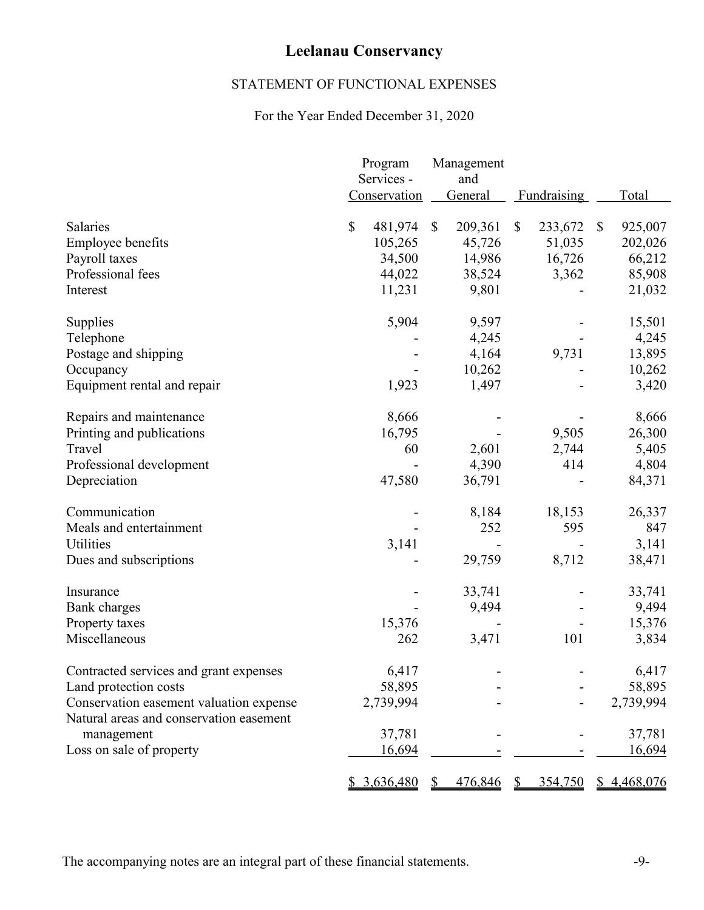# STATEMENT OF FUNCTIONAL EXPENSES

# For the Year Ended December 31, 2020

|                                         | Program       |              | Management     |              |             |              |               |
|-----------------------------------------|---------------|--------------|----------------|--------------|-------------|--------------|---------------|
|                                         | Services -    |              | and            |              |             |              |               |
|                                         | Conservation  |              | <b>General</b> |              | Fundraising |              | Total         |
| <b>Salaries</b>                         | \$<br>481,974 | $\mathbb{S}$ | 209,361        | $\mathbb{S}$ | 233,672     | $\mathbb{S}$ | 925,007       |
| Employee benefits                       | 105,265       |              | 45,726         |              | 51,035      |              | 202,026       |
| Payroll taxes                           | 34,500        |              | 14,986         |              | 16,726      |              | 66,212        |
| Professional fees                       | 44,022        |              | 38,524         |              | 3,362       |              | 85,908        |
| Interest                                | 11,231        |              | 9,801          |              |             |              | 21,032        |
| Supplies                                | 5,904         |              | 9,597          |              |             |              | 15,501        |
| Telephone                               |               |              | 4,245          |              |             |              | 4,245         |
| Postage and shipping                    |               |              | 4,164          |              | 9,731       |              | 13,895        |
| Occupancy                               |               |              | 10,262         |              |             |              | 10,262        |
| Equipment rental and repair             | 1,923         |              | 1,497          |              |             |              | 3,420         |
| Repairs and maintenance                 | 8,666         |              |                |              |             |              | 8,666         |
| Printing and publications               | 16,795        |              |                |              | 9,505       |              | 26,300        |
| Travel                                  | 60            |              | 2,601          |              | 2,744       |              | 5,405         |
| Professional development                |               |              | 4,390          |              | 414         |              | 4,804         |
| Depreciation                            | 47,580        |              | 36,791         |              |             |              | 84,371        |
| Communication                           |               |              | 8,184          |              | 18,153      |              | 26,337        |
| Meals and entertainment                 |               |              | 252            |              | 595         |              | 847           |
| <b>Utilities</b>                        | 3,141         |              |                |              |             |              | 3,141         |
| Dues and subscriptions                  |               |              | 29,759         |              | 8,712       |              | 38,471        |
| Insurance                               |               |              | 33,741         |              |             |              | 33,741        |
| <b>Bank</b> charges                     |               |              | 9,494          |              |             |              | 9,494         |
| Property taxes                          | 15,376        |              |                |              |             |              | 15,376        |
| Miscellaneous                           | 262           |              | 3,471          |              | 101         |              | 3,834         |
| Contracted services and grant expenses  | 6,417         |              |                |              |             |              | 6,417         |
| Land protection costs                   | 58,895        |              |                |              |             |              | 58,895        |
| Conservation easement valuation expense | 2,739,994     |              |                |              |             |              | 2,739,994     |
| Natural areas and conservation easement |               |              |                |              |             |              |               |
| management                              | 37,781        |              |                |              |             |              | 37,781        |
| Loss on sale of property                | <u>16,694</u> |              |                |              |             |              | <u>16,694</u> |
|                                         | \$3,636,480   |              | 476,846        | \$           | 354,750     |              | \$4,468,076   |

The accompanying notes are an integral part of these financial statements. -9-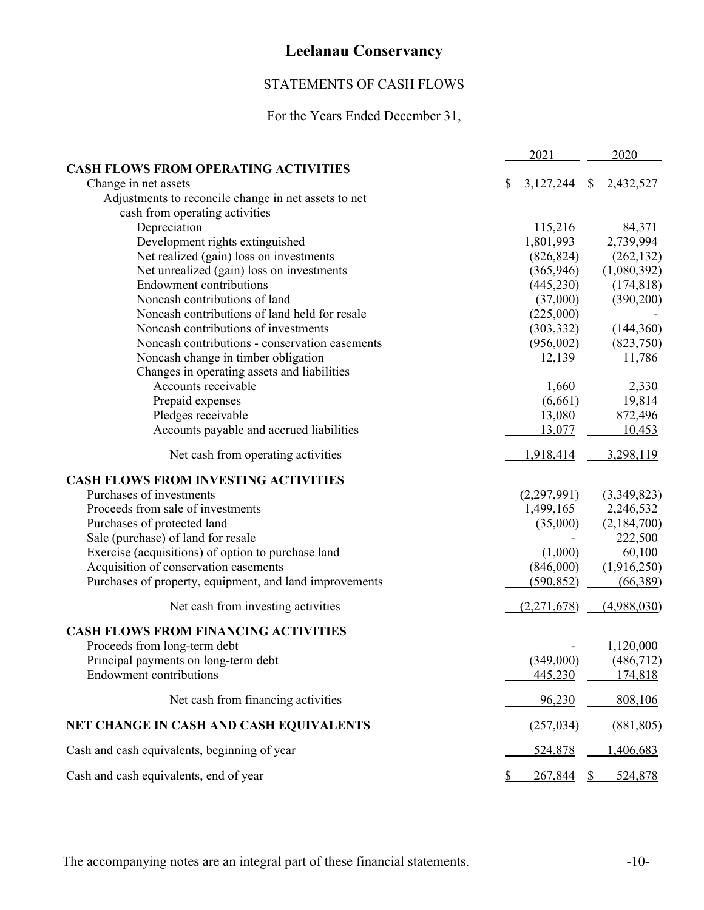# STATEMENTS OF CASH FLOWS

# For the Years Ended December 31,

|                                                         | 2021 |             |               | 2020        |  |
|---------------------------------------------------------|------|-------------|---------------|-------------|--|
| <b>CASH FLOWS FROM OPERATING ACTIVITIES</b>             |      |             |               |             |  |
| Change in net assets                                    | \$   | 3,127,244   | $\mathcal{S}$ | 2,432,527   |  |
| Adjustments to reconcile change in net assets to net    |      |             |               |             |  |
| cash from operating activities                          |      |             |               |             |  |
| Depreciation                                            |      | 115,216     |               | 84,371      |  |
| Development rights extinguished                         |      | 1,801,993   |               | 2,739,994   |  |
| Net realized (gain) loss on investments                 |      | (826, 824)  |               | (262, 132)  |  |
| Net unrealized (gain) loss on investments               |      | (365,946)   |               | (1,080,392) |  |
| <b>Endowment contributions</b>                          |      | (445, 230)  |               | (174, 818)  |  |
| Noncash contributions of land                           |      | (37,000)    |               | (390,200)   |  |
| Noncash contributions of land held for resale           |      | (225,000)   |               |             |  |
| Noncash contributions of investments                    |      | (303, 332)  |               | (144,360)   |  |
| Noncash contributions - conservation easements          |      | (956,002)   |               | (823,750)   |  |
| Noncash change in timber obligation                     |      | 12,139      |               | 11,786      |  |
| Changes in operating assets and liabilities             |      |             |               |             |  |
| Accounts receivable                                     |      | 1,660       |               | 2,330       |  |
| Prepaid expenses                                        |      | (6,661)     |               | 19,814      |  |
| Pledges receivable                                      |      | 13,080      |               | 872,496     |  |
| Accounts payable and accrued liabilities                |      | 13,077      |               | 10,453      |  |
| Net cash from operating activities                      |      | 1,918,414   |               | 3,298,119   |  |
| <b>CASH FLOWS FROM INVESTING ACTIVITIES</b>             |      |             |               |             |  |
| Purchases of investments                                |      | (2,297,991) |               | (3,349,823) |  |
| Proceeds from sale of investments                       |      | 1,499,165   |               | 2,246,532   |  |
| Purchases of protected land                             |      | (35,000)    |               | (2,184,700) |  |
| Sale (purchase) of land for resale                      |      |             |               | 222,500     |  |
| Exercise (acquisitions) of option to purchase land      |      | (1,000)     |               | 60,100      |  |
| Acquisition of conservation easements                   |      | (846,000)   |               | (1,916,250) |  |
| Purchases of property, equipment, and land improvements |      | (590, 852)  |               | (66,389)    |  |
| Net cash from investing activities                      |      | (2,271,678) |               | (4,988,030) |  |
| <b>CASH FLOWS FROM FINANCING ACTIVITIES</b>             |      |             |               |             |  |
| Proceeds from long-term debt                            |      |             |               | 1,120,000   |  |
| Principal payments on long-term debt                    |      | (349,000)   |               | (486, 712)  |  |
| <b>Endowment contributions</b>                          |      | 445,230     |               | 174,818     |  |
|                                                         |      |             |               | 808,106     |  |
| Net cash from financing activities                      |      | 96,230      |               |             |  |
| NET CHANGE IN CASH AND CASH EQUIVALENTS                 |      | (257, 034)  |               | (881, 805)  |  |
| Cash and cash equivalents, beginning of year            |      | 524,878     |               | 1,406,683   |  |
| Cash and cash equivalents, end of year                  | S    | 267,844     | $\mathbb{S}$  | 524,878     |  |

The accompanying notes are an integral part of these financial statements.  $-10-$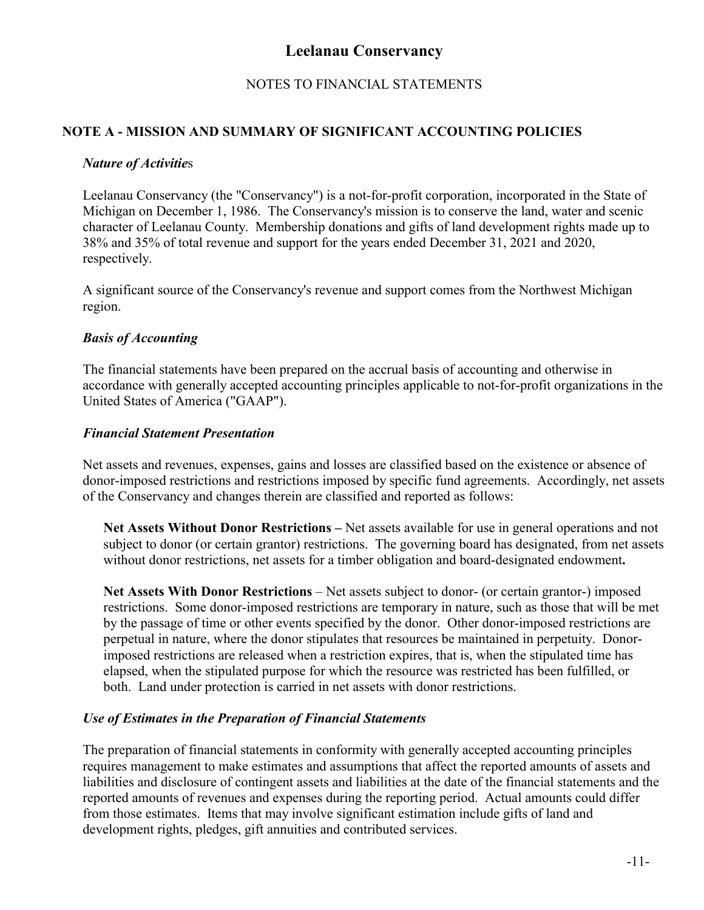# NOTES TO FINANCIAL STATEMENTS

## **NOTE A - MISSION AND SUMMARY OF SIGNIFICANT ACCOUNTING POLICIES**

#### *Nature of Activitie*s

Leelanau Conservancy (the "Conservancy") is a not-for-profit corporation, incorporated in the State of Michigan on December 1, 1986. The Conservancy's mission is to conserve the land, water and scenic character of Leelanau County. Membership donations and gifts of land development rights made up to 38% and 35% of total revenue and support for the years ended December 31, 2021 and 2020, respectively.

A significant source of the Conservancy's revenue and support comes from the Northwest Michigan region.

#### *Basis of Accounting*

The financial statements have been prepared on the accrual basis of accounting and otherwise in accordance with generally accepted accounting principles applicable to not-for-profit organizations in the United States of America ("GAAP").

#### *Financial Statement Presentation*

Net assets and revenues, expenses, gains and losses are classified based on the existence or absence of donor-imposed restrictions and restrictions imposed by specific fund agreements. Accordingly, net assets of the Conservancy and changes therein are classified and reported as follows:

**Net Assets Without Donor Restrictions –** Net assets available for use in general operations and not subject to donor (or certain grantor) restrictions. The governing board has designated, from net assets without donor restrictions, net assets for a timber obligation and board-designated endowment**.**

**Net Assets With Donor Restrictions** – Net assets subject to donor- (or certain grantor-) imposed restrictions. Some donor-imposed restrictions are temporary in nature, such as those that will be met by the passage of time or other events specified by the donor. Other donor-imposed restrictions are perpetual in nature, where the donor stipulates that resources be maintained in perpetuity. Donorimposed restrictions are released when a restriction expires, that is, when the stipulated time has elapsed, when the stipulated purpose for which the resource was restricted has been fulfilled, or both.Land under protection is carried in net assets with donor restrictions.

#### *Use of Estimates in the Preparation of Financial Statements*

The preparation of financial statements in conformity with generally accepted accounting principles requires management to make estimates and assumptions that affect the reported amounts of assets and liabilities and disclosure of contingent assets and liabilities at the date of the financial statements and the reported amounts of revenues and expenses during the reporting period. Actual amounts could differ from those estimates. Items that may involve significant estimation include gifts of land and development rights, pledges, gift annuities and contributed services.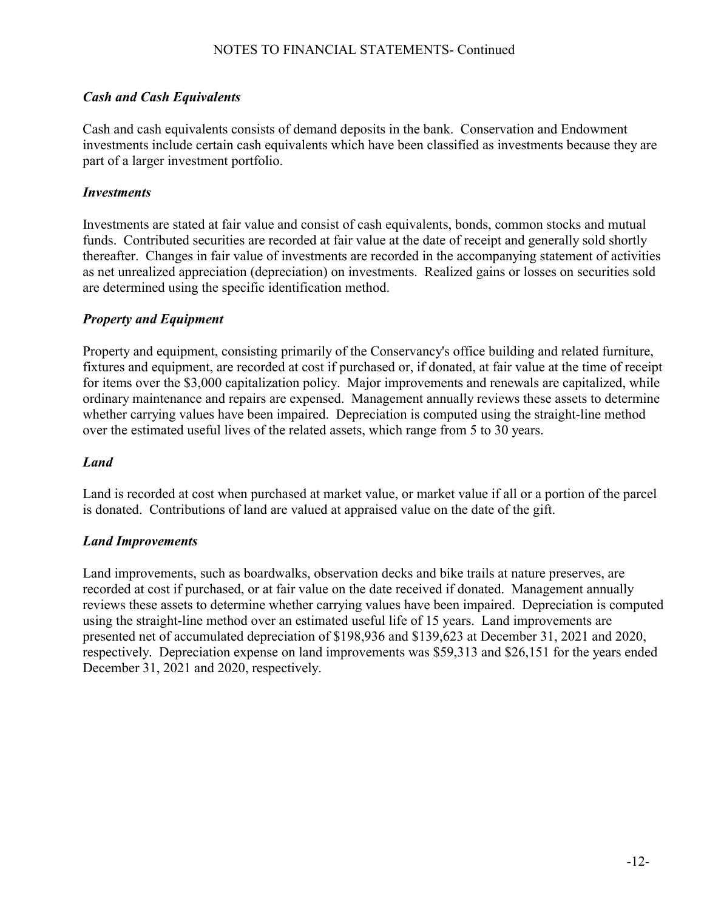# *Cash and Cash Equivalents*

Cash and cash equivalents consists of demand deposits in the bank. Conservation and Endowment investments include certain cash equivalents which have been classified as investments because they are part of a larger investment portfolio.

## *Investments*

Investments are stated at fair value and consist of cash equivalents, bonds, common stocks and mutual funds. Contributed securities are recorded at fair value at the date of receipt and generally sold shortly thereafter. Changes in fair value of investments are recorded in the accompanying statement of activities as net unrealized appreciation (depreciation) on investments. Realized gains or losses on securities sold are determined using the specific identification method.

## *Property and Equipment*

Property and equipment, consisting primarily of the Conservancy's office building and related furniture, fixtures and equipment, are recorded at cost if purchased or, if donated, at fair value at the time of receipt for items over the \$3,000 capitalization policy. Major improvements and renewals are capitalized, while ordinary maintenance and repairs are expensed. Management annually reviews these assets to determine whether carrying values have been impaired. Depreciation is computed using the straight-line method over the estimated useful lives of the related assets, which range from 5 to 30 years.

## *Land*

Land is recorded at cost when purchased at market value, or market value if all or a portion of the parcel is donated. Contributions of land are valued at appraised value on the date of the gift.

#### *Land Improvements*

Land improvements, such as boardwalks, observation decks and bike trails at nature preserves, are recorded at cost if purchased, or at fair value on the date received if donated. Management annually reviews these assets to determine whether carrying values have been impaired. Depreciation is computed using the straight-line method over an estimated useful life of 15 years. Land improvements are presented net of accumulated depreciation of \$198,936 and \$139,623 at December 31, 2021 and 2020, respectively. Depreciation expense on land improvements was \$59,313 and \$26,151 for the years ended December 31, 2021 and 2020, respectively.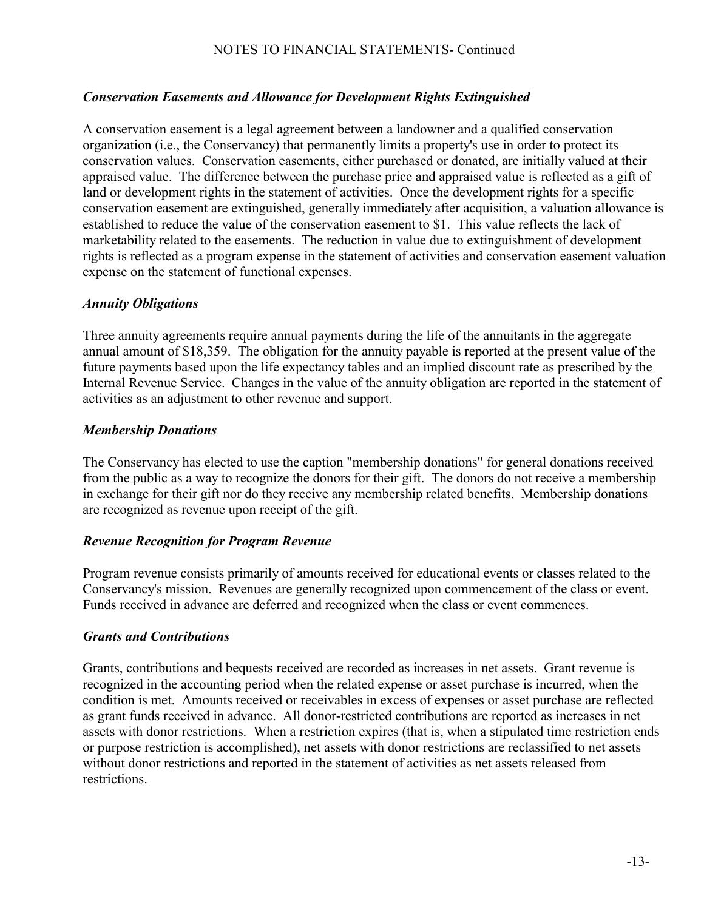## *Conservation Easements and Allowance for Development Rights Extinguished*

A conservation easement is a legal agreement between a landowner and a qualified conservation organization (i.e., the Conservancy) that permanently limits a property's use in order to protect its conservation values. Conservation easements, either purchased or donated, are initially valued at their appraised value. The difference between the purchase price and appraised value is reflected as a gift of land or development rights in the statement of activities. Once the development rights for a specific conservation easement are extinguished, generally immediately after acquisition, a valuation allowance is established to reduce the value of the conservation easement to \$1. This value reflects the lack of marketability related to the easements. The reduction in value due to extinguishment of development rights is reflected as a program expense in the statement of activities and conservation easement valuation expense on the statement of functional expenses.

#### *Annuity Obligations*

Three annuity agreements require annual payments during the life of the annuitants in the aggregate annual amount of \$18,359. The obligation for the annuity payable is reported at the present value of the future payments based upon the life expectancy tables and an implied discount rate as prescribed by the Internal Revenue Service. Changes in the value of the annuity obligation are reported in the statement of activities as an adjustment to other revenue and support.

#### *Membership Donations*

The Conservancy has elected to use the caption "membership donations" for general donations received from the public as a way to recognize the donors for their gift. The donors do not receive a membership in exchange for their gift nor do they receive any membership related benefits. Membership donations are recognized as revenue upon receipt of the gift.

#### *Revenue Recognition for Program Revenue*

Program revenue consists primarily of amounts received for educational events or classes related to the Conservancy's mission. Revenues are generally recognized upon commencement of the class or event. Funds received in advance are deferred and recognized when the class or event commences.

#### *Grants and Contributions*

Grants, contributions and bequests received are recorded as increases in net assets. Grant revenue is recognized in the accounting period when the related expense or asset purchase is incurred, when the condition is met. Amounts received or receivables in excess of expenses or asset purchase are reflected as grant funds received in advance. All donor-restricted contributions are reported as increases in net assets with donor restrictions. When a restriction expires (that is, when a stipulated time restriction ends or purpose restriction is accomplished), net assets with donor restrictions are reclassified to net assets without donor restrictions and reported in the statement of activities as net assets released from restrictions.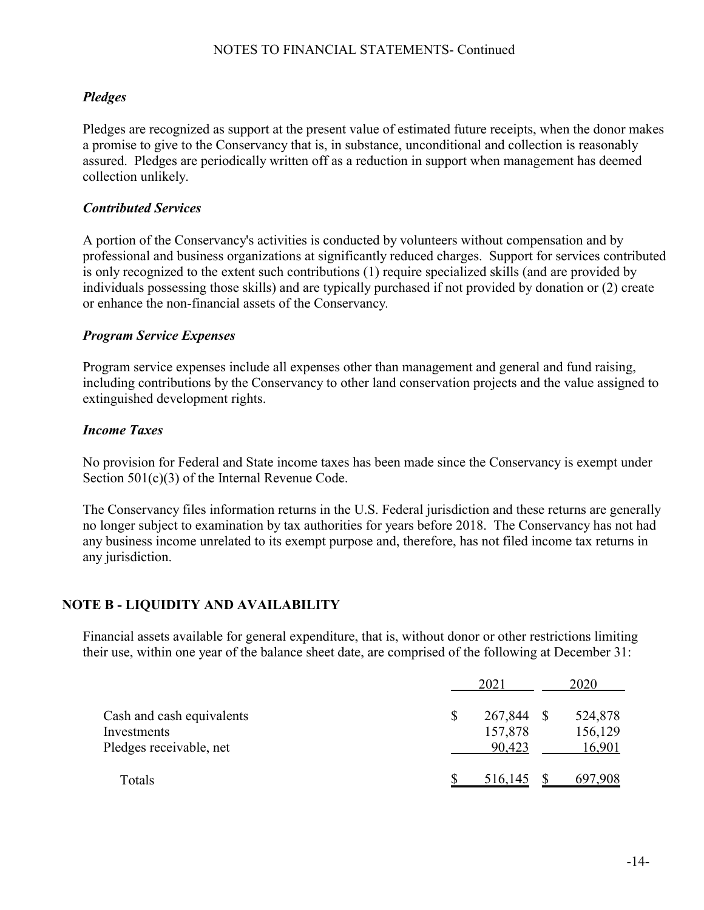# *Pledges*

Pledges are recognized as support at the present value of estimated future receipts, when the donor makes a promise to give to the Conservancy that is, in substance, unconditional and collection is reasonably assured. Pledges are periodically written off as a reduction in support when management has deemed collection unlikely.

## *Contributed Services*

A portion of the Conservancy's activities is conducted by volunteers without compensation and by professional and business organizations at significantly reduced charges. Support for services contributed is only recognized to the extent such contributions (1) require specialized skills (and are provided by individuals possessing those skills) and are typically purchased if not provided by donation or (2) create or enhance the non-financial assets of the Conservancy*.*

## *Program Service Expenses*

Program service expenses include all expenses other than management and general and fund raising, including contributions by the Conservancy to other land conservation projects and the value assigned to extinguished development rights.

### *Income Taxes*

No provision for Federal and State income taxes has been made since the Conservancy is exempt under Section 501(c)(3) of the Internal Revenue Code.

The Conservancy files information returns in the U.S. Federal jurisdiction and these returns are generally no longer subject to examination by tax authorities for years before 2018. The Conservancy has not had any business income unrelated to its exempt purpose and, therefore, has not filed income tax returns in any jurisdiction.

## **NOTE B - LIQUIDITY AND AVAILABILITY**

Financial assets available for general expenditure, that is, without donor or other restrictions limiting their use, within one year of the balance sheet date, are comprised of the following at December 31:

|                                                                     | 2021                               | 2020                         |
|---------------------------------------------------------------------|------------------------------------|------------------------------|
| Cash and cash equivalents<br>Investments<br>Pledges receivable, net | \$<br>267,844<br>157,878<br>90,423 | 524,878<br>156,129<br>16,901 |
| Totals                                                              | 516,145                            | 697,908                      |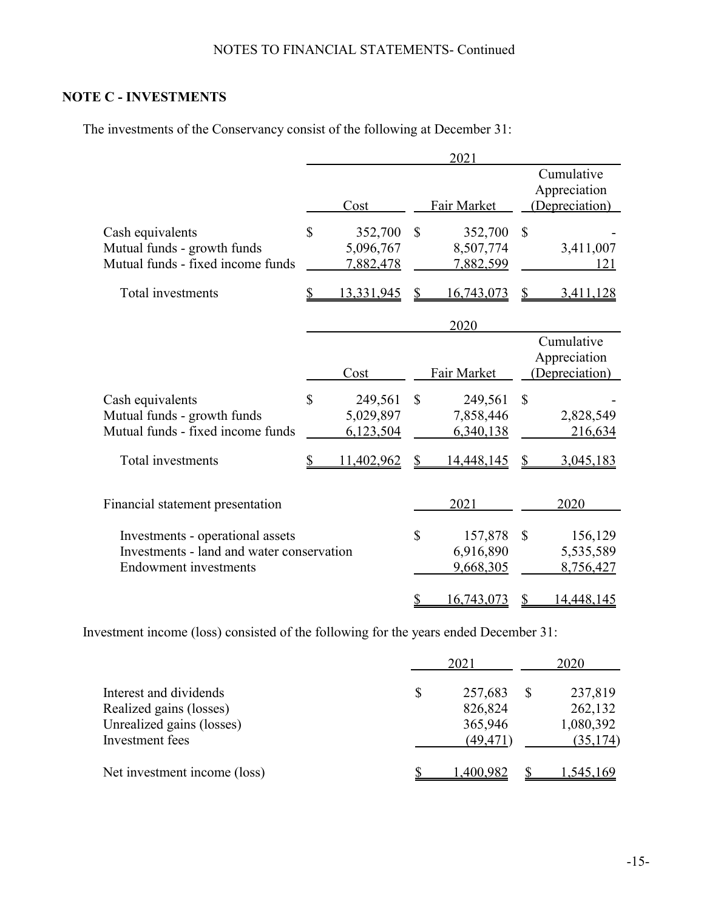# **NOTE C - INVESTMENTS**

The investments of the Conservancy consist of the following at December 31:

|                                           |                   |               | 2021        |              |                |
|-------------------------------------------|-------------------|---------------|-------------|--------------|----------------|
|                                           |                   |               |             |              | Cumulative     |
|                                           |                   |               |             |              | Appreciation   |
|                                           | Cost              |               | Fair Market |              | (Depreciation) |
| Cash equivalents                          | \$<br>352,700     | $\mathcal{S}$ | 352,700     | \$           |                |
| Mutual funds - growth funds               | 5,096,767         |               | 8,507,774   |              | 3,411,007      |
| Mutual funds - fixed income funds         | 7,882,478         |               | 7,882,599   |              | 121            |
|                                           |                   |               |             |              |                |
| Total investments                         | <u>13,331,945</u> |               | 16,743,073  |              | 3,411,128      |
|                                           |                   |               |             |              |                |
|                                           |                   |               | 2020        |              |                |
|                                           |                   |               |             |              | Cumulative     |
|                                           |                   |               |             |              | Appreciation   |
|                                           | Cost              |               | Fair Market |              | Depreciation)  |
| Cash equivalents                          | \$<br>249,561     | $\mathcal{S}$ | 249,561     | $\mathbb{S}$ |                |
| Mutual funds - growth funds               | 5,029,897         |               | 7,858,446   |              | 2,828,549      |
| Mutual funds - fixed income funds         | 6,123,504         |               | 6,340,138   |              | 216,634        |
|                                           |                   |               |             |              |                |
| Total investments                         | 11,402,962        |               | 14,448,145  |              | 3,045,183      |
|                                           |                   |               |             |              |                |
|                                           |                   |               |             |              |                |
| Financial statement presentation          |                   |               | 2021        |              | 2020           |
| Investments - operational assets          |                   | $\mathbb{S}$  | 157,878     | $\mathbb{S}$ | 156,129        |
| Investments - land and water conservation |                   |               | 6,916,890   |              | 5,535,589      |
| <b>Endowment</b> investments              |                   |               | 9,668,305   |              | 8,756,427      |
|                                           |                   |               |             |              |                |
|                                           |                   | \$            | 16,743,073  | \$           | 14,448,145     |

Investment income (loss) consisted of the following for the years ended December 31:

|                                                      | 2021               | 2020 |                      |  |
|------------------------------------------------------|--------------------|------|----------------------|--|
| Interest and dividends                               | \$<br>257,683      |      | 237,819              |  |
| Realized gains (losses)<br>Unrealized gains (losses) | 826,824<br>365,946 |      | 262,132<br>1,080,392 |  |
| Investment fees                                      | (49,471)           |      | (35, 174)            |  |
| Net investment income (loss)                         | 1,400,982          |      | 1,545,169            |  |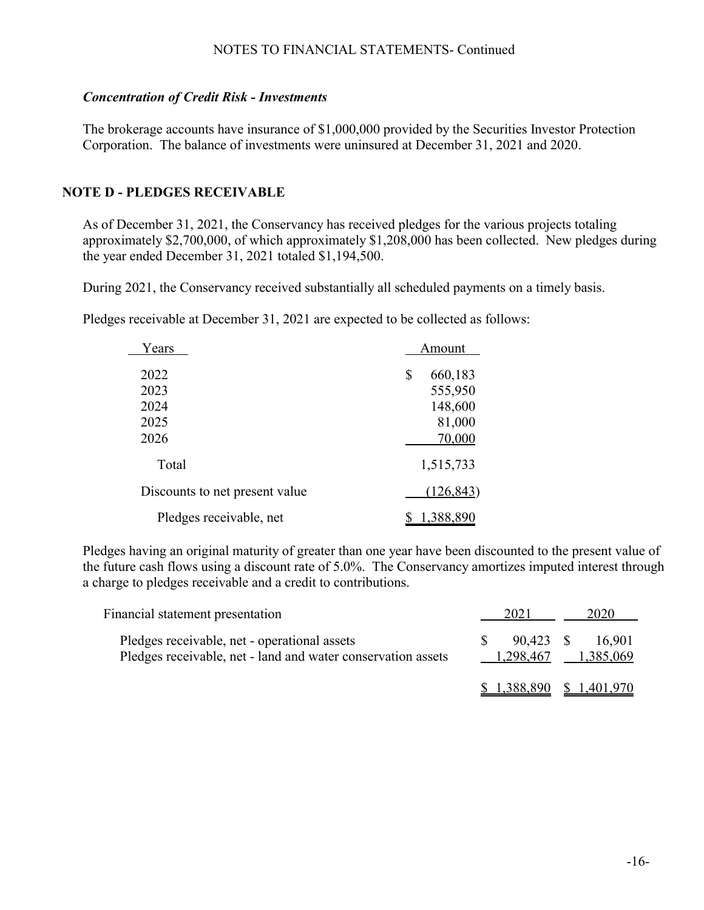#### *Concentration of Credit Risk - Investments*

The brokerage accounts have insurance of \$1,000,000 provided by the Securities Investor Protection Corporation. The balance of investments were uninsured at December 31, 2021 and 2020.

## **NOTE D - PLEDGES RECEIVABLE**

As of December 31, 2021, the Conservancy has received pledges for the various projects totaling approximately \$2,700,000, of which approximately \$1,208,000 has been collected. New pledges during the year ended December 31, 2021 totaled \$1,194,500.

During 2021, the Conservancy received substantially all scheduled payments on a timely basis.

Pledges receivable at December 31, 2021 are expected to be collected as follows:

| Years                          | Amount                                        |
|--------------------------------|-----------------------------------------------|
| 2022<br>2023<br>2024<br>2025   | \$<br>660,183<br>555,950<br>148,600<br>81,000 |
| 2026<br>Total                  | 70,000<br>1,515,733                           |
| Discounts to net present value | (126, 843)                                    |
| Pledges receivable, net        | 1,388,890                                     |

Pledges having an original maturity of greater than one year have been discounted to the present value of the future cash flows using a discount rate of 5.0%. The Conservancy amortizes imputed interest through a charge to pledges receivable and a credit to contributions.

| Financial statement presentation                                                                             | 2021 | 2020                                    |
|--------------------------------------------------------------------------------------------------------------|------|-----------------------------------------|
| Pledges receivable, net - operational assets<br>Pledges receivable, net - land and water conservation assets |      | 90,423 \$ 16,901<br>1,298,467 1,385,069 |
|                                                                                                              |      | $$1,388,890 \$1,401,970$                |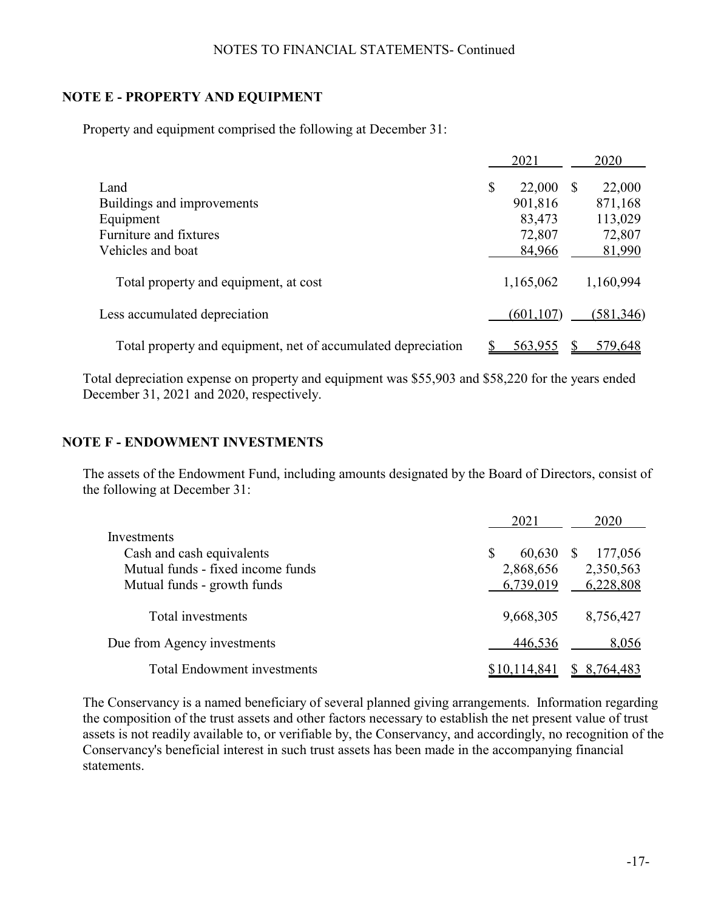## **NOTE E - PROPERTY AND EQUIPMENT**

Property and equipment comprised the following at December 31:

|                                                               | 2021         |    | 2020       |
|---------------------------------------------------------------|--------------|----|------------|
| Land                                                          | \$<br>22,000 | -S | 22,000     |
| Buildings and improvements                                    | 901,816      |    | 871,168    |
| Equipment                                                     | 83,473       |    | 113,029    |
| Furniture and fixtures                                        | 72,807       |    | 72,807     |
| Vehicles and boat                                             | 84,966       |    | 81,990     |
| Total property and equipment, at cost                         | 1,165,062    |    | 1,160,994  |
| Less accumulated depreciation                                 | (601, 107)   |    | (581, 346) |
| Total property and equipment, net of accumulated depreciation | 563,955      |    | 579.648    |

Total depreciation expense on property and equipment was \$55,903 and \$58,220 for the years ended December 31, 2021 and 2020, respectively.

#### **NOTE F - ENDOWMENT INVESTMENTS**

The assets of the Endowment Fund, including amounts designated by the Board of Directors, consist of the following at December 31:

|                                    | 2021         | 2020                |
|------------------------------------|--------------|---------------------|
| Investments                        |              |                     |
| Cash and cash equivalents          | 60,630       | 177,056<br><b>S</b> |
| Mutual funds - fixed income funds  | 2,868,656    | 2,350,563           |
| Mutual funds - growth funds        | 6,739,019    | 6,228,808           |
| Total investments                  | 9,668,305    | 8,756,427           |
| Due from Agency investments        | 446,536      | 8,056               |
| <b>Total Endowment investments</b> | \$10,114,841 | 8,764,483           |

The Conservancy is a named beneficiary of several planned giving arrangements. Information regarding the composition of the trust assets and other factors necessary to establish the net present value of trust assets is not readily available to, or verifiable by, the Conservancy, and accordingly, no recognition of the Conservancy's beneficial interest in such trust assets has been made in the accompanying financial statements.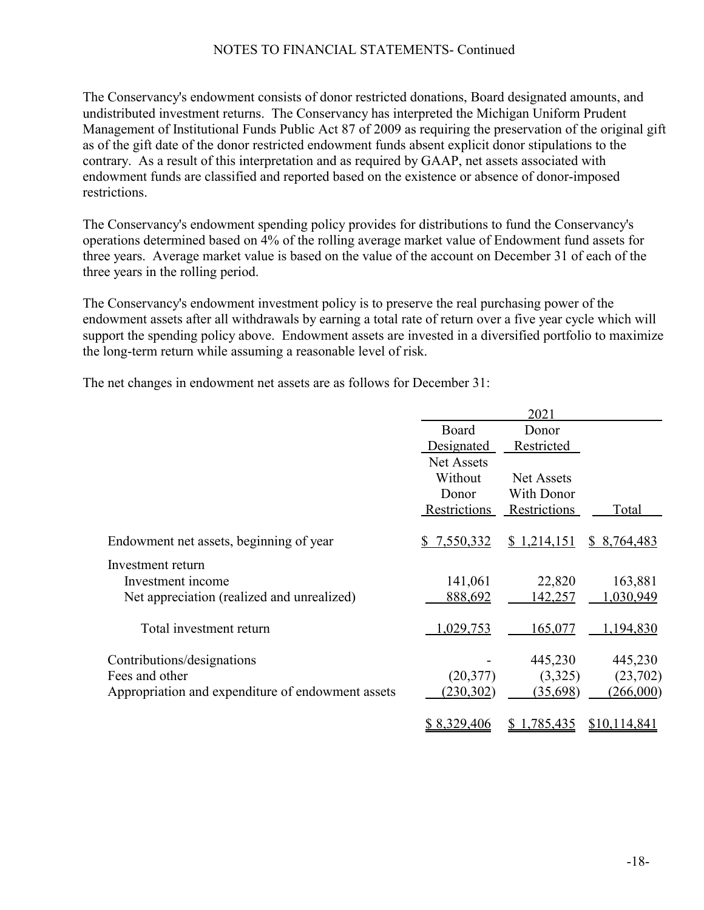The Conservancy's endowment consists of donor restricted donations, Board designated amounts, and undistributed investment returns. The Conservancy has interpreted the Michigan Uniform Prudent Management of Institutional Funds Public Act 87 of 2009 as requiring the preservation of the original gift as of the gift date of the donor restricted endowment funds absent explicit donor stipulations to the contrary. As a result of this interpretation and as required by GAAP, net assets associated with endowment funds are classified and reported based on the existence or absence of donor-imposed restrictions.

The Conservancy's endowment spending policy provides for distributions to fund the Conservancy's operations determined based on 4% of the rolling average market value of Endowment fund assets for three years. Average market value is based on the value of the account on December 31 of each of the three years in the rolling period.

The Conservancy's endowment investment policy is to preserve the real purchasing power of the endowment assets after all withdrawals by earning a total rate of return over a five year cycle which will support the spending policy above. Endowment assets are invested in a diversified portfolio to maximize the long-term return while assuming a reasonable level of risk.

The net changes in endowment net assets are as follows for December 31:

|                                                   |              | 2021         |                     |
|---------------------------------------------------|--------------|--------------|---------------------|
|                                                   | Board        | Donor        |                     |
|                                                   | Designated   | Restricted   |                     |
|                                                   | Net Assets   |              |                     |
|                                                   | Without      | Net Assets   |                     |
|                                                   | Donor        | With Donor   |                     |
|                                                   | Restrictions | Restrictions | Total               |
| Endowment net assets, beginning of year           | 7,550,332    | \$1,214,151  | \$ 8,764,483        |
| Investment return                                 |              |              |                     |
| Investment income                                 | 141,061      | 22,820       | 163,881             |
| Net appreciation (realized and unrealized)        | 888,692      | 142,257      | 1,030,949           |
| Total investment return                           | 1,029,753    | 165,077      | 1,194,830           |
| Contributions/designations                        |              | 445,230      | 445,230             |
| Fees and other                                    | (20,377)     | (3,325)      | (23,702)            |
| Appropriation and expenditure of endowment assets | (230, 302)   | (35,698)     | (266,000)           |
|                                                   | \$8,329,406  | 1,785,435    | <u>\$10,114,841</u> |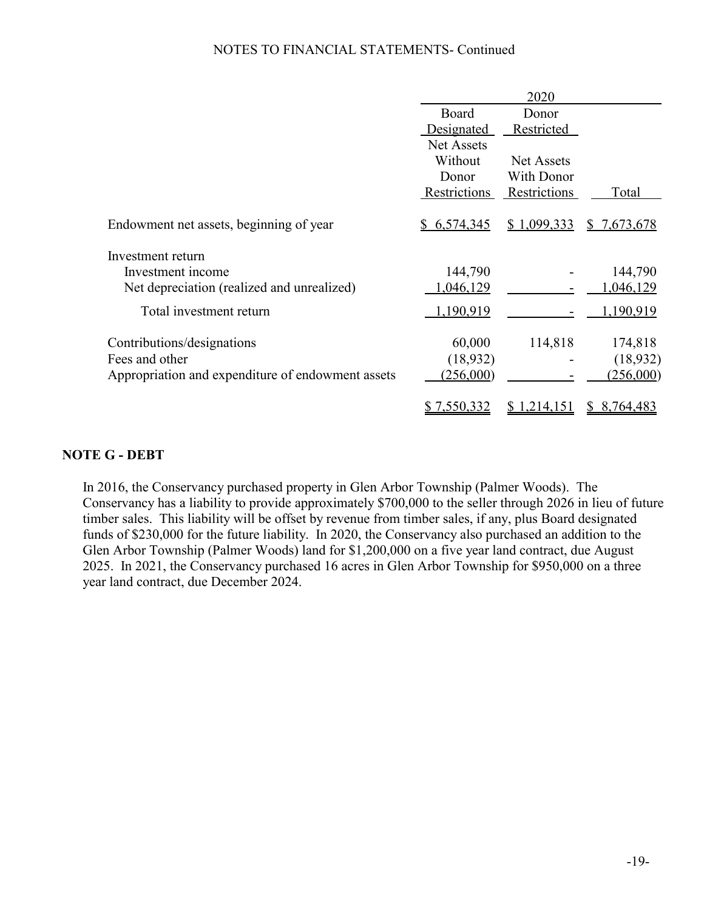|                                                   |                    | 2020              |                    |
|---------------------------------------------------|--------------------|-------------------|--------------------|
|                                                   | Board              | Donor             |                    |
|                                                   | Designated         | Restricted        |                    |
|                                                   | <b>Net Assets</b>  |                   |                    |
|                                                   | Without            | <b>Net Assets</b> |                    |
|                                                   | Donor              | <b>With Donor</b> |                    |
|                                                   | Restrictions       | Restrictions      | Total              |
| Endowment net assets, beginning of year           | \$ 6,574,345       | \$1,099,333       | <u>\$7,673,678</u> |
| Investment return                                 |                    |                   |                    |
| Investment income                                 | 144,790            |                   | 144,790            |
| Net depreciation (realized and unrealized)        | 1,046,129          |                   | 1,046,129          |
| Total investment return                           | 1,190,919          |                   | <u>1,190,919</u>   |
| Contributions/designations                        | 60,000             | 114,818           | 174,818            |
| Fees and other                                    | (18,932)           |                   | (18, 932)          |
| Appropriation and expenditure of endowment assets | (256,000)          |                   | (256,000)          |
|                                                   | <u>\$7,550,332</u> | \$1,214,151       | 8,764,483          |

### **NOTE G - DEBT**

In 2016, the Conservancy purchased property in Glen Arbor Township (Palmer Woods). The Conservancy has a liability to provide approximately \$700,000 to the seller through 2026 in lieu of future timber sales. This liability will be offset by revenue from timber sales, if any, plus Board designated funds of \$230,000 for the future liability. In 2020, the Conservancy also purchased an addition to the Glen Arbor Township (Palmer Woods) land for \$1,200,000 on a five year land contract, due August 2025. In 2021, the Conservancy purchased 16 acres in Glen Arbor Township for \$950,000 on a three year land contract, due December 2024.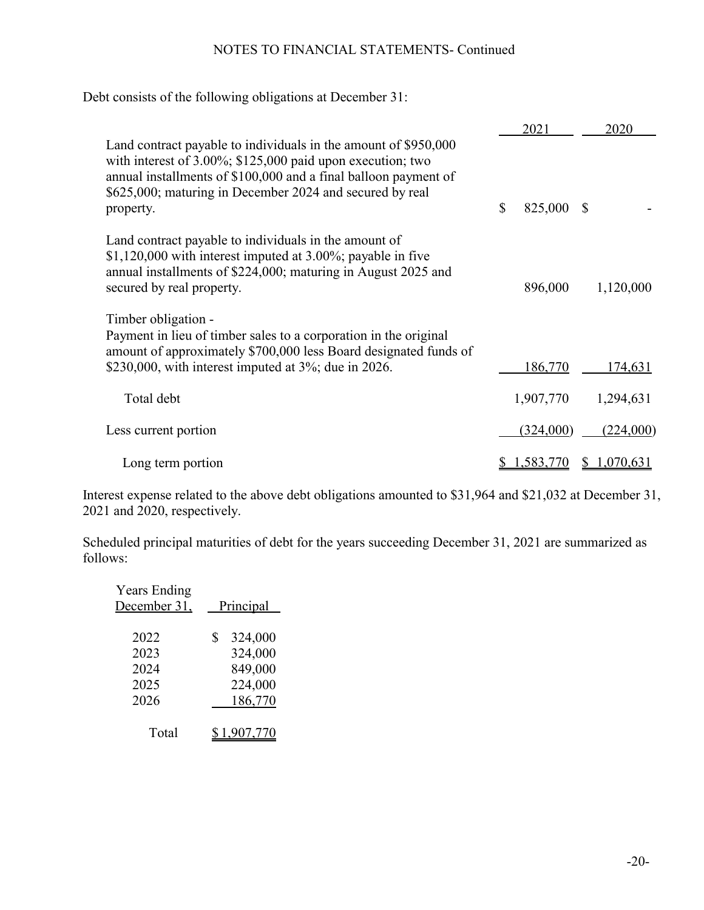Debt consists of the following obligations at December 31:

|                                                                                                                                                                                                                                                                               | 2021             |    | 2020      |
|-------------------------------------------------------------------------------------------------------------------------------------------------------------------------------------------------------------------------------------------------------------------------------|------------------|----|-----------|
| Land contract payable to individuals in the amount of \$950,000<br>with interest of $3.00\%$ ; \$125,000 paid upon execution; two<br>annual installments of \$100,000 and a final balloon payment of<br>\$625,000; maturing in December 2024 and secured by real<br>property. | \$<br>825,000    | -S |           |
| Land contract payable to individuals in the amount of<br>$$1,120,000$ with interest imputed at 3.00%; payable in five<br>annual installments of \$224,000; maturing in August 2025 and<br>secured by real property.                                                           | 896,000          |    | 1,120,000 |
| Timber obligation -<br>Payment in lieu of timber sales to a corporation in the original<br>amount of approximately \$700,000 less Board designated funds of<br>\$230,000, with interest imputed at $3\%$ ; due in 2026.                                                       | 186,770          |    | 174,631   |
| Total debt                                                                                                                                                                                                                                                                    | 1,907,770        |    | 1,294,631 |
| Less current portion                                                                                                                                                                                                                                                          | (324,000)        |    | (224,000) |
| Long term portion                                                                                                                                                                                                                                                             | <u>1,583,770</u> | Ÿ. | 1,070,631 |

Interest expense related to the above debt obligations amounted to \$31,964 and \$21,032 at December 31, 2021 and 2020, respectively.

Scheduled principal maturities of debt for the years succeeding December 31, 2021 are summarized as follows:

| <b>Years Ending</b><br>December 31, | Principal     |
|-------------------------------------|---------------|
| 2022                                | 324,000<br>\$ |
| 2023                                | 324,000       |
| 2024                                | 849,000       |
| 2025                                | 224,000       |
| 2026                                | 186,770       |
| Total                               | ,907,770      |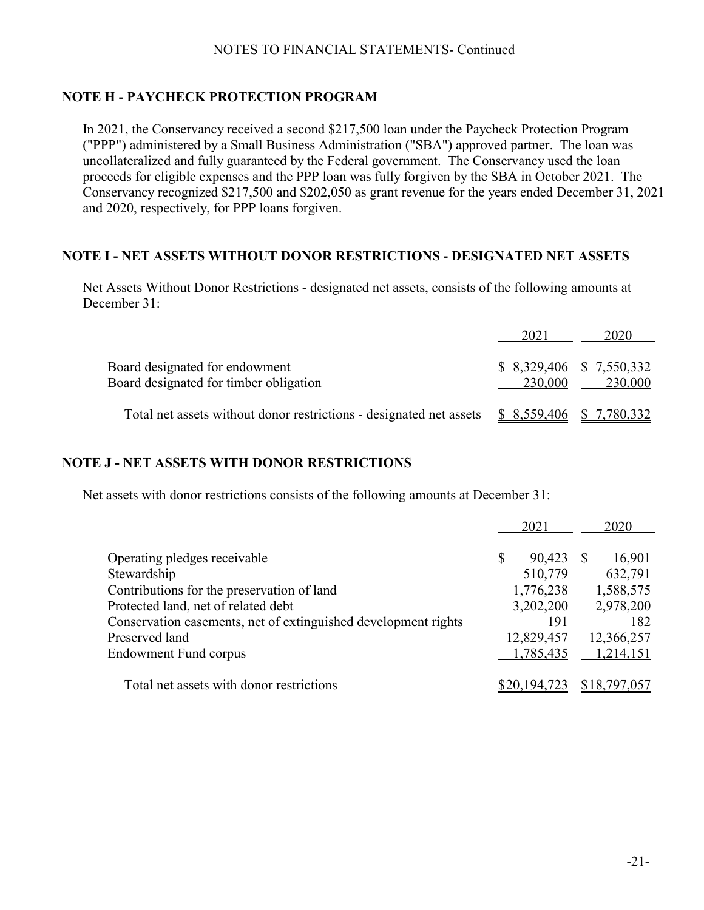# **NOTE H - PAYCHECK PROTECTION PROGRAM**

In 2021, the Conservancy received a second \$217,500 loan under the Paycheck Protection Program ("PPP") administered by a Small Business Administration ("SBA") approved partner. The loan was uncollateralized and fully guaranteed by the Federal government. The Conservancy used the loan proceeds for eligible expenses and the PPP loan was fully forgiven by the SBA in October 2021. The Conservancy recognized \$217,500 and \$202,050 as grant revenue for the years ended December 31, 2021 and 2020, respectively, for PPP loans forgiven.

#### **NOTE I - NET ASSETS WITHOUT DONOR RESTRICTIONS - DESIGNATED NET ASSETS**

Net Assets Without Donor Restrictions - designated net assets, consists of the following amounts at December 31:

|                                                                          | 2021                      | 2020                                 |
|--------------------------------------------------------------------------|---------------------------|--------------------------------------|
| Board designated for endowment<br>Board designated for timber obligation | 230,000                   | $$8,329,406$ $$7,550,332$<br>230,000 |
| Total net assets without donor restrictions - designated net assets      | $$8,559,406$ $$7,780,332$ |                                      |

#### **NOTE J - NET ASSETS WITH DONOR RESTRICTIONS**

Net assets with donor restrictions consists of the following amounts at December 31:

|                                                                |   | 2021         | 2020         |
|----------------------------------------------------------------|---|--------------|--------------|
| Operating pledges receivable                                   | S | 90,423       | 16,901       |
| Stewardship                                                    |   | 510,779      | 632,791      |
| Contributions for the preservation of land                     |   | 1,776,238    | 1,588,575    |
| Protected land, net of related debt                            |   | 3,202,200    | 2,978,200    |
| Conservation easements, net of extinguished development rights |   | 191          | 182          |
| Preserved land                                                 |   | 12,829,457   | 12,366,257   |
| <b>Endowment Fund corpus</b>                                   |   | 1,785,435    | 1,214,151    |
| Total net assets with donor restrictions                       |   | \$20,194,723 | \$18,797,057 |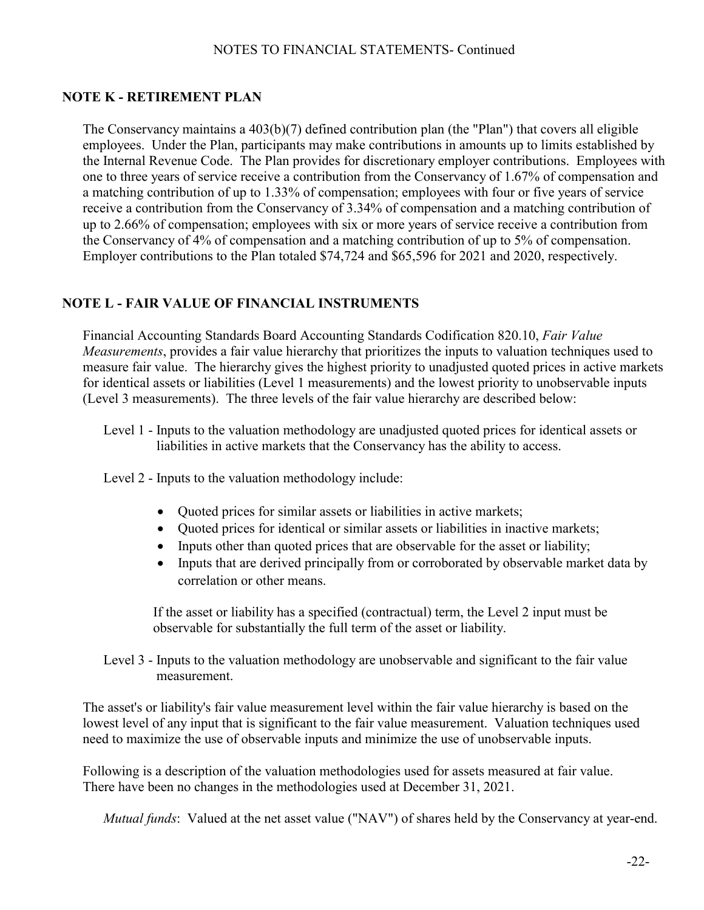## **NOTE K - RETIREMENT PLAN**

The Conservancy maintains a  $403(b)(7)$  defined contribution plan (the "Plan") that covers all eligible employees. Under the Plan, participants may make contributions in amounts up to limits established by the Internal Revenue Code. The Plan provides for discretionary employer contributions. Employees with one to three years of service receive a contribution from the Conservancy of 1.67% of compensation and a matching contribution of up to 1.33% of compensation; employees with four or five years of service receive a contribution from the Conservancy of 3.34% of compensation and a matching contribution of up to 2.66% of compensation; employees with six or more years of service receive a contribution from the Conservancy of 4% of compensation and a matching contribution of up to 5% of compensation. Employer contributions to the Plan totaled \$74,724 and \$65,596 for 2021 and 2020, respectively.

### **NOTE L - FAIR VALUE OF FINANCIAL INSTRUMENTS**

Financial Accounting Standards Board Accounting Standards Codification 820.10, *Fair Value Measurements*, provides a fair value hierarchy that prioritizes the inputs to valuation techniques used to measure fair value. The hierarchy gives the highest priority to unadjusted quoted prices in active markets for identical assets or liabilities (Level 1 measurements) and the lowest priority to unobservable inputs (Level 3 measurements). The three levels of the fair value hierarchy are described below:

Level 1 - Inputs to the valuation methodology are unadjusted quoted prices for identical assets or liabilities in active markets that the Conservancy has the ability to access.

Level 2 - Inputs to the valuation methodology include:

- Quoted prices for similar assets or liabilities in active markets;
- Quoted prices for identical or similar assets or liabilities in inactive markets;
- Inputs other than quoted prices that are observable for the asset or liability;
- Inputs that are derived principally from or corroborated by observable market data by correlation or other means.

If the asset or liability has a specified (contractual) term, the Level 2 input must be observable for substantially the full term of the asset or liability.

Level 3 - Inputs to the valuation methodology are unobservable and significant to the fair value measurement.

The asset's or liability's fair value measurement level within the fair value hierarchy is based on the lowest level of any input that is significant to the fair value measurement. Valuation techniques used need to maximize the use of observable inputs and minimize the use of unobservable inputs.

Following is a description of the valuation methodologies used for assets measured at fair value. There have been no changes in the methodologies used at December 31, 2021.

*Mutual funds*: Valued at the net asset value ("NAV") of shares held by the Conservancy at year-end.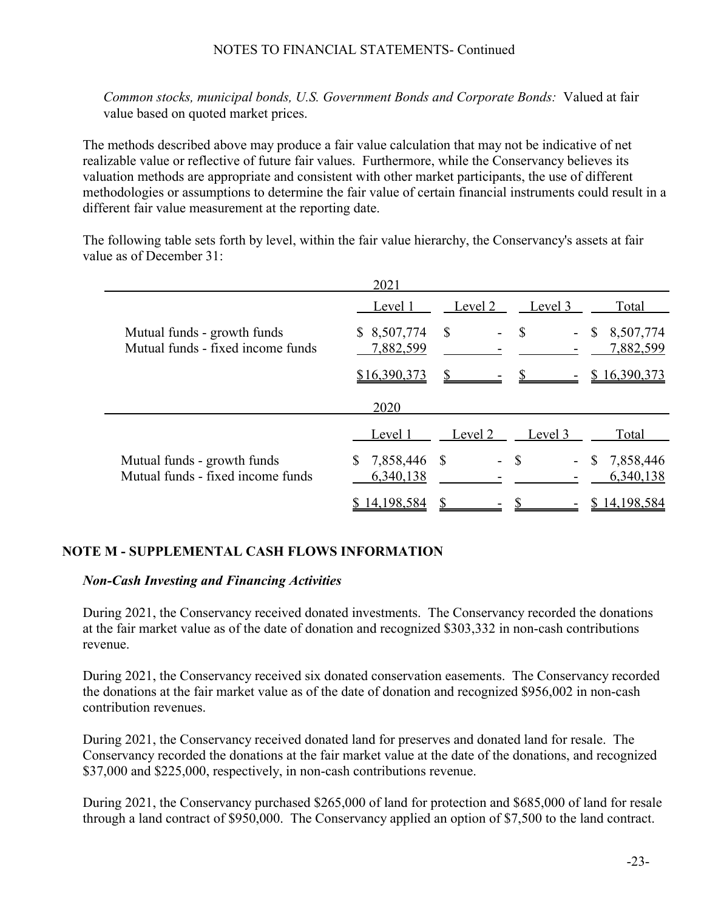*Common stocks, municipal bonds, U.S. Government Bonds and Corporate Bonds:* Valued at fair value based on quoted market prices.

The methods described above may produce a fair value calculation that may not be indicative of net realizable value or reflective of future fair values. Furthermore, while the Conservancy believes its valuation methods are appropriate and consistent with other market participants, the use of different methodologies or assumptions to determine the fair value of certain financial instruments could result in a different fair value measurement at the reporting date.

The following table sets forth by level, within the fair value hierarchy, the Conservancy's assets at fair value as of December 31:

|                                                                  | 2021                         |         |               |                              |
|------------------------------------------------------------------|------------------------------|---------|---------------|------------------------------|
|                                                                  | Level 1                      | Level 2 | Level 3       | Total                        |
| Mutual funds - growth funds<br>Mutual funds - fixed income funds | \$8,507,774<br>7,882,599     | S       | $\mathbb{S}$  | 8,507,774<br>\$<br>7,882,599 |
|                                                                  | \$16,390,373                 |         |               | \$16,390,373                 |
|                                                                  | 2020                         |         |               |                              |
|                                                                  | Level 1                      | Level 2 | Level 3       | Total                        |
| Mutual funds - growth funds<br>Mutual funds - fixed income funds | 7,858,446<br>S.<br>6,340,138 | -S      | <sup>\$</sup> | 7,858,446<br>S.<br>6,340,138 |
|                                                                  | 14,198,584                   |         |               | 14,198,584                   |

## **NOTE M - SUPPLEMENTAL CASH FLOWS INFORMATION**

#### *Non-Cash Investing and Financing Activities*

During 2021, the Conservancy received donated investments. The Conservancy recorded the donations at the fair market value as of the date of donation and recognized \$303,332 in non-cash contributions revenue.

During 2021, the Conservancy received six donated conservation easements. The Conservancy recorded the donations at the fair market value as of the date of donation and recognized \$956,002 in non-cash contribution revenues.

During 2021, the Conservancy received donated land for preserves and donated land for resale. The Conservancy recorded the donations at the fair market value at the date of the donations, and recognized \$37,000 and \$225,000, respectively, in non-cash contributions revenue.

During 2021, the Conservancy purchased \$265,000 of land for protection and \$685,000 of land for resale through a land contract of \$950,000. The Conservancy applied an option of \$7,500 to the land contract.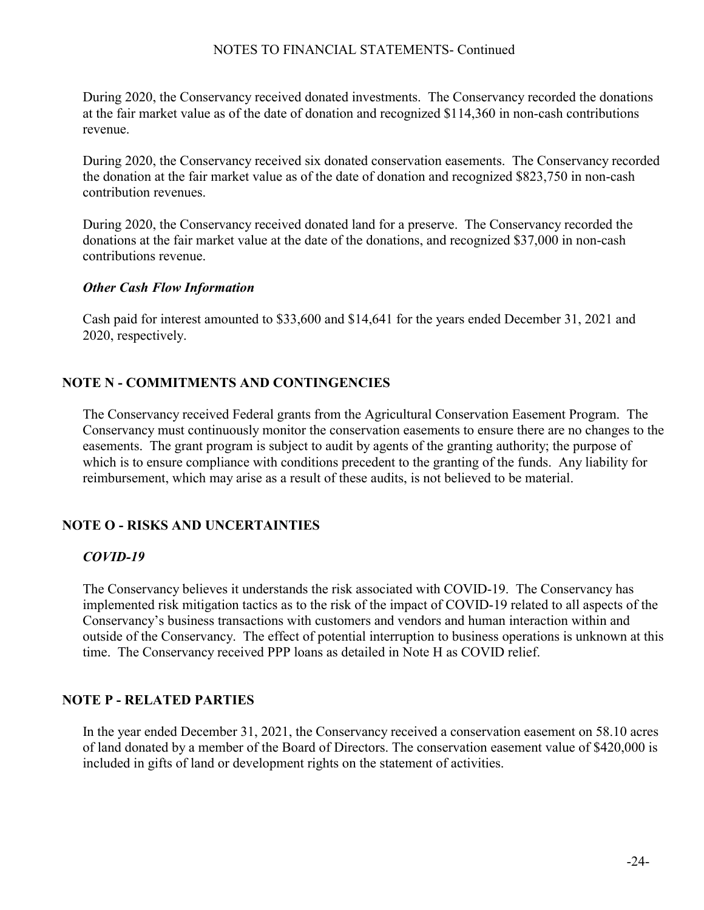During 2020, the Conservancy received donated investments. The Conservancy recorded the donations at the fair market value as of the date of donation and recognized \$114,360 in non-cash contributions revenue.

During 2020, the Conservancy received six donated conservation easements. The Conservancy recorded the donation at the fair market value as of the date of donation and recognized \$823,750 in non-cash contribution revenues.

During 2020, the Conservancy received donated land for a preserve. The Conservancy recorded the donations at the fair market value at the date of the donations, and recognized \$37,000 in non-cash contributions revenue.

### *Other Cash Flow Information*

Cash paid for interest amounted to \$33,600 and \$14,641 for the years ended December 31, 2021 and 2020, respectively.

# **NOTE N - COMMITMENTS AND CONTINGENCIES**

The Conservancy received Federal grants from the Agricultural Conservation Easement Program. The Conservancy must continuously monitor the conservation easements to ensure there are no changes to the easements. The grant program is subject to audit by agents of the granting authority; the purpose of which is to ensure compliance with conditions precedent to the granting of the funds. Any liability for reimbursement, which may arise as a result of these audits, is not believed to be material.

# **NOTE O - RISKS AND UNCERTAINTIES**

## *COVID-19*

The Conservancy believes it understands the risk associated with COVID-19. The Conservancy has implemented risk mitigation tactics as to the risk of the impact of COVID-19 related to all aspects of the Conservancy's business transactions with customers and vendors and human interaction within and outside of the Conservancy. The effect of potential interruption to business operations is unknown at this time. The Conservancy received PPP loans as detailed in Note H as COVID relief.

## **NOTE P - RELATED PARTIES**

In the year ended December 31, 2021, the Conservancy received a conservation easement on 58.10 acres of land donated by a member of the Board of Directors. The conservation easement value of \$420,000 is included in gifts of land or development rights on the statement of activities.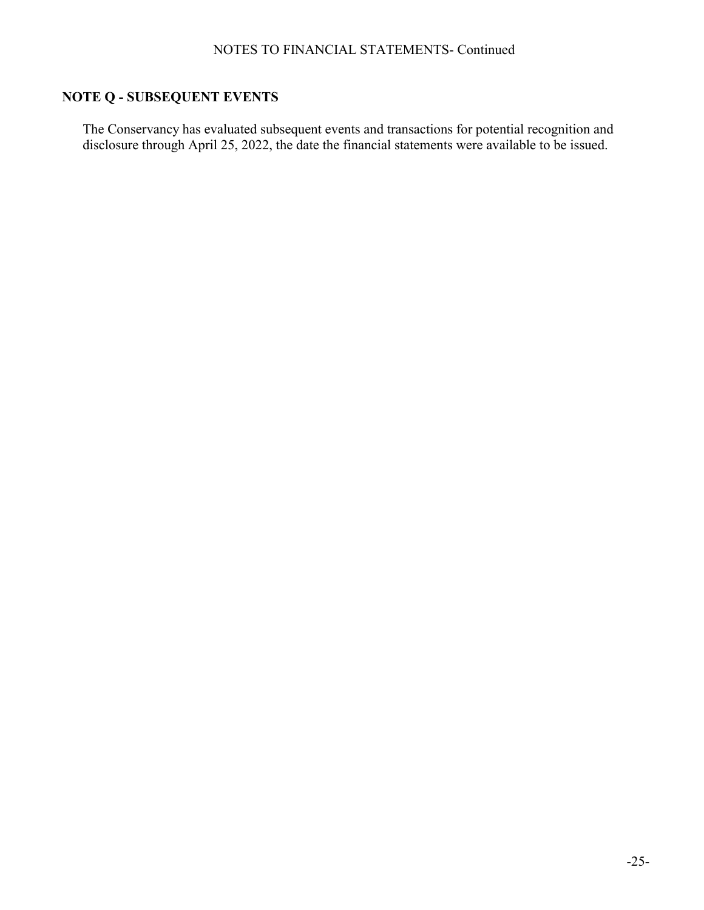# **NOTE Q - SUBSEQUENT EVENTS**

The Conservancy has evaluated subsequent events and transactions for potential recognition and disclosure through April 25, 2022, the date the financial statements were available to be issued.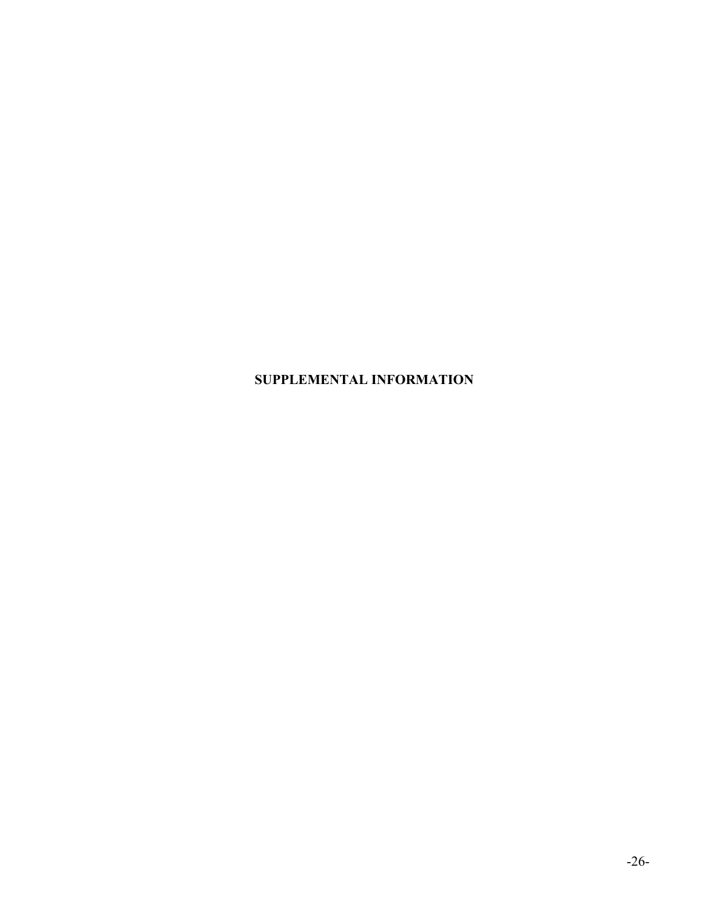# **SUPPLEMENTAL INFORMATION**